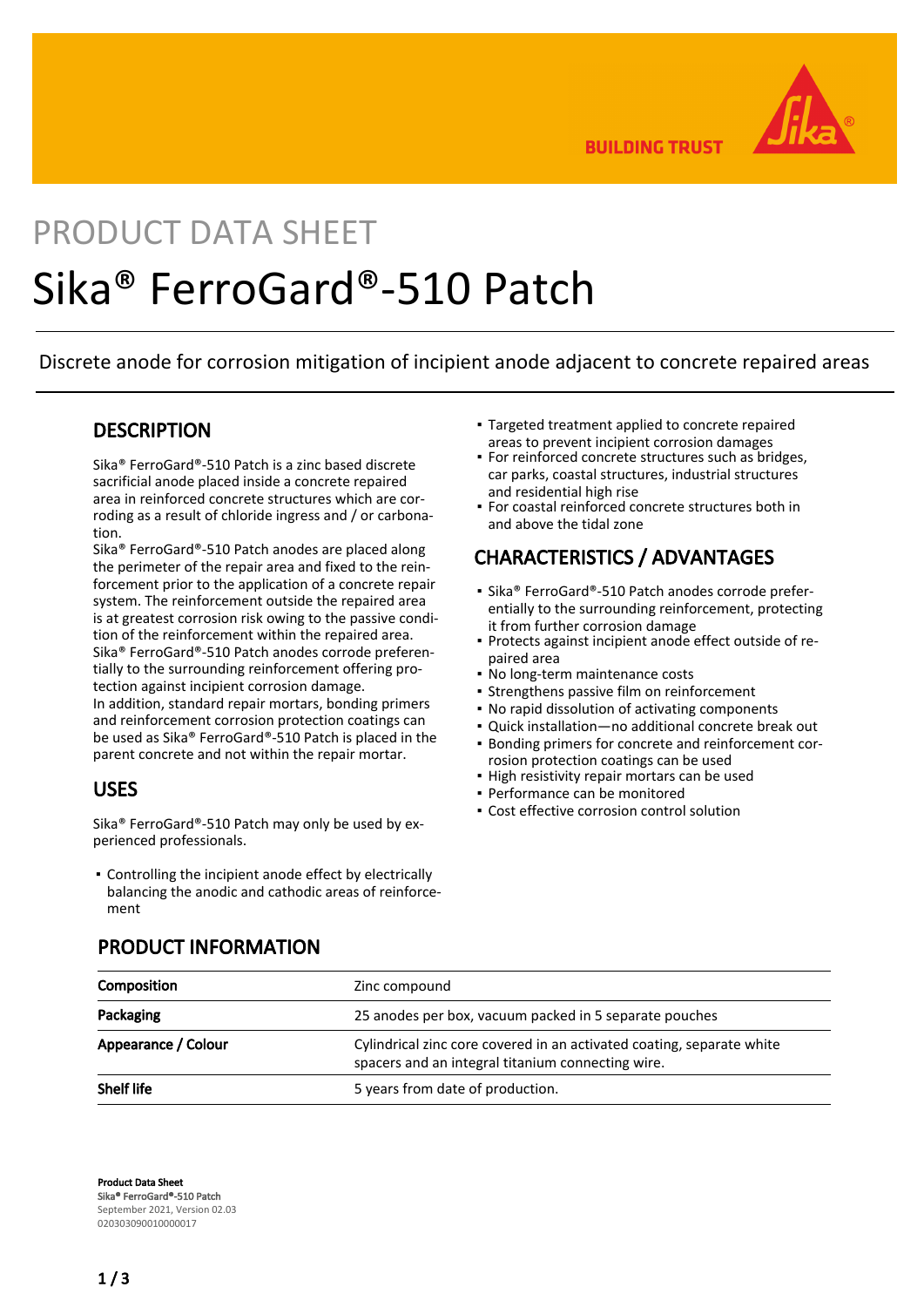

**BUILDING TRUST** 

# PRODUCT DATA SHEET Sika® FerroGard®-510 Patch

Discrete anode for corrosion mitigation of incipient anode adjacent to concrete repaired areas

#### **DESCRIPTION**

Sika® FerroGard®-510 Patch is a zinc based discrete sacrificial anode placed inside a concrete repaired area in reinforced concrete structures which are corroding as a result of chloride ingress and / or carbonation.

Sika® FerroGard®-510 Patch anodes are placed along the perimeter of the repair area and fixed to the reinforcement prior to the application of a concrete repair system. The reinforcement outside the repaired area is at greatest corrosion risk owing to the passive condition of the reinforcement within the repaired area. Sika® FerroGard®-510 Patch anodes corrode preferentially to the surrounding reinforcement offering protection against incipient corrosion damage. In addition, standard repair mortars, bonding primers and reinforcement corrosion protection coatings can be used as Sika® FerroGard®-510 Patch is placed in the parent concrete and not within the repair mortar.

#### USES

Sika® FerroGard®-510 Patch may only be used by experienced professionals.

Controlling the incipient anode effect by electrically ▪ balancing the anodic and cathodic areas of reinforcement

- Targeted treatment applied to concrete repaired areas to prevent incipient corrosion damages
- **For reinforced concrete structures such as bridges,** car parks, coastal structures, industrial structures and residential high rise
- For coastal reinforced concrete structures both in and above the tidal zone

# CHARACTERISTICS / ADVANTAGES

- Sika® FerroGard®-510 Patch anodes corrode preferentially to the surrounding reinforcement, protecting it from further corrosion damage
- Protects against incipient anode effect outside of re-▪ paired area
- No long-term maintenance costs
- **· Strengthens passive film on reinforcement**
- No rapid dissolution of activating components
- Quick installation—no additional concrete break out
- Bonding primers for concrete and reinforcement cor-▪ rosion protection coatings can be used
- High resistivity repair mortars can be used
- Performance can be monitored
- **Cost effective corrosion control solution**

| Composition         | Zinc compound                                                                                                              |
|---------------------|----------------------------------------------------------------------------------------------------------------------------|
| Packaging           | 25 anodes per box, vacuum packed in 5 separate pouches                                                                     |
| Appearance / Colour | Cylindrical zinc core covered in an activated coating, separate white<br>spacers and an integral titanium connecting wire. |
| Shelf life          | 5 years from date of production.                                                                                           |

#### PRODUCT INFORMATION

Product Data Sheet Sika® FerroGard®-510 Patch September 2021, Version 02.03 020303090010000017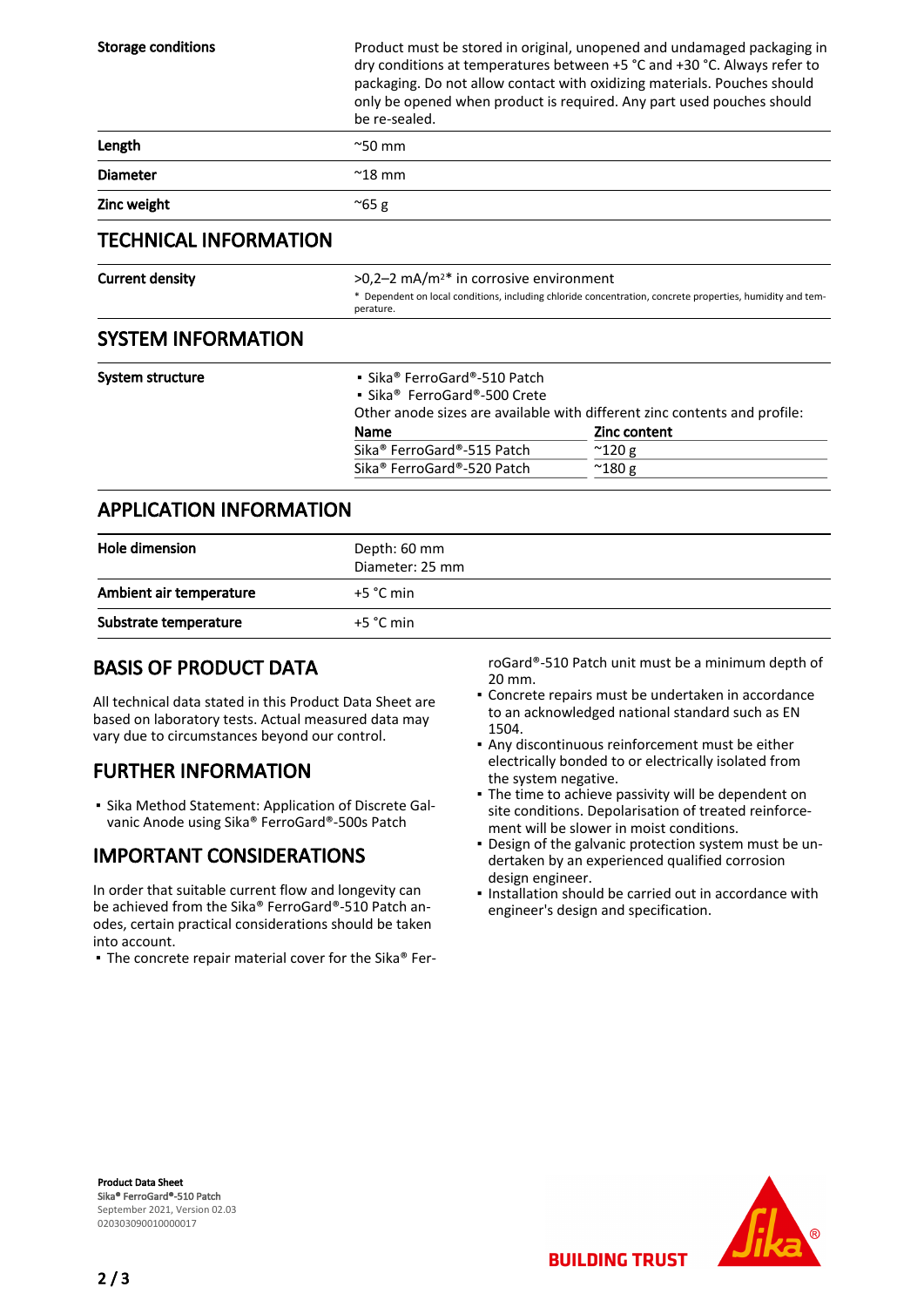| <b>Storage conditions</b>      | be re-sealed.                                                                                                                                                                        | Product must be stored in original, unopened and undamaged packaging in<br>dry conditions at temperatures between +5 °C and +30 °C. Always refer to<br>packaging. Do not allow contact with oxidizing materials. Pouches should<br>only be opened when product is required. Any part used pouches should |  |
|--------------------------------|--------------------------------------------------------------------------------------------------------------------------------------------------------------------------------------|----------------------------------------------------------------------------------------------------------------------------------------------------------------------------------------------------------------------------------------------------------------------------------------------------------|--|
| Length                         | $^{\sim}50$ mm                                                                                                                                                                       |                                                                                                                                                                                                                                                                                                          |  |
| <b>Diameter</b>                | $^{\sim}$ 18 mm                                                                                                                                                                      |                                                                                                                                                                                                                                                                                                          |  |
| Zinc weight                    | $^{\sim}65$ g                                                                                                                                                                        |                                                                                                                                                                                                                                                                                                          |  |
| <b>TECHNICAL INFORMATION</b>   |                                                                                                                                                                                      |                                                                                                                                                                                                                                                                                                          |  |
| <b>Current density</b>         | $>0.2-2$ mA/m <sup>2*</sup> in corrosive environment<br>* Dependent on local conditions, including chloride concentration, concrete properties, humidity and tem-<br>perature.       |                                                                                                                                                                                                                                                                                                          |  |
| <b>SYSTEM INFORMATION</b>      |                                                                                                                                                                                      |                                                                                                                                                                                                                                                                                                          |  |
| System structure               | • Sika® FerroGard®-510 Patch<br>• Sika <sup>®</sup> FerroGard®-500 Crete<br>Other anode sizes are available with different zinc contents and profile:<br><b>Zinc content</b><br>Name |                                                                                                                                                                                                                                                                                                          |  |
|                                | Sika <sup>®</sup> FerroGard®-515 Patch<br>Sika <sup>®</sup> FerroGard®-520 Patch                                                                                                     | $^{\sim}$ 120 g<br>$^{\sim}$ 180 g                                                                                                                                                                                                                                                                       |  |
| <b>APPLICATION INFORMATION</b> |                                                                                                                                                                                      |                                                                                                                                                                                                                                                                                                          |  |

| Hole dimension          | Depth: 60 mm<br>Diameter: 25 mm |
|-------------------------|---------------------------------|
| Ambient air temperature | $+5 °C$ min                     |
| Substrate temperature   | $+5 °C$ min                     |

### BASIS OF PRODUCT DATA

All technical data stated in this Product Data Sheet are based on laboratory tests. Actual measured data may vary due to circumstances beyond our control.

# FURTHER INFORMATION

**Bika Method Statement: Application of Discrete Gal**vanic Anode using Sika® FerroGard®-500s Patch

# IMPORTANT CONSIDERATIONS

In order that suitable current flow and longevity can be achieved from the Sika® FerroGard®-510 Patch anodes, certain practical considerations should be taken into account.

▪ The concrete repair material cover for the Sika® Fer-

roGard®-510 Patch unit must be a minimum depth of 20 mm.

- Concrete repairs must be undertaken in accordance to an acknowledged national standard such as EN 1504.
- Any discontinuous reinforcement must be either electrically bonded to or electrically isolated from the system negative.
- The time to achieve passivity will be dependent on site conditions. Depolarisation of treated reinforcement will be slower in moist conditions.
- Design of the galvanic protection system must be un-▪ dertaken by an experienced qualified corrosion design engineer.
- . Installation should be carried out in accordance with engineer's design and specification.

**BUILDING TRUST** 

Product Data Sheet Sika® FerroGard®-510 Patch September 2021, Version 02.03 020303090010000017